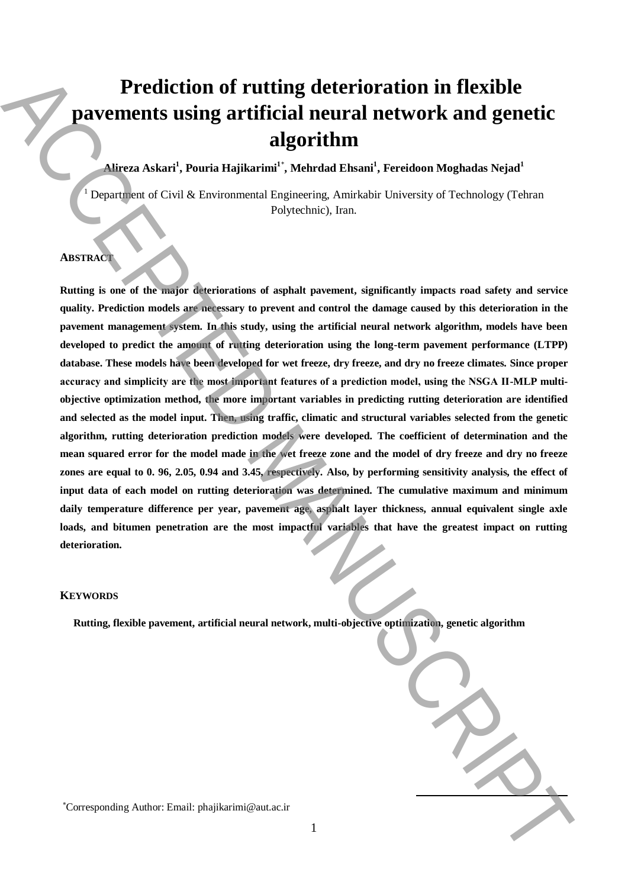# **Prediction of rutting deterioration in flexible pavements using artificial neural network and genetic algorithm**

# **Alireza Askari<sup>1</sup> , Pouria Hajikarimi<sup>1</sup>**\* **, Mehrdad Ehsani<sup>1</sup> , Fereidoon Moghadas Nejad<sup>1</sup>**

<sup>1</sup> Department of Civil & Environmental Engineering, Amirkabir University of Technology (Tehran Polytechnic), Iran.

## **ABSTRACT**

**Rutting is one of the major deteriorations of asphalt pavement, significantly impacts road safety and service quality. Prediction models are necessary to prevent and control the damage caused by this deterioration in the pavement management system. In this study, using the artificial neural network algorithm, models have been developed to predict the amount of rutting deterioration using the long-term pavement performance (LTPP) database. These models have been developed for wet freeze, dry freeze, and dry no freeze climates. Since proper accuracy and simplicity are the most important features of a prediction model, using the NSGA ІІ-MLP multiobjective optimization method, the more important variables in predicting rutting deterioration are identified and selected as the model input. Then, using traffic, climatic and structural variables selected from the genetic algorithm, rutting deterioration prediction models were developed. The coefficient of determination and the mean squared error for the model made in the wet freeze zone and the model of dry freeze and dry no freeze zones are equal to 0. 96, 2.05, 0.94 and 3.45, respectively. Also, by performing sensitivity analysis, the effect of input data of each model on rutting deterioration was determined. The cumulative maximum and minimum daily temperature difference per year, pavement age, asphalt layer thickness, annual equivalent single axle**  loads, and bitumen penetration are the most impactful variables that have the greatest impact on rutting **deterioration. Excellential of runting deterioration in flexible<br>
Automatics using artifficial neural neutrons alternative standard and<br>
Legachian Manuscript (Manuscript Authorities (Authorities Authorities Authorities Automatics)<br>
Aut** 

## **KEYWORDS**

 **Rutting, flexible pavement, artificial neural network, multi-objective optimization, genetic algorithm**

**.**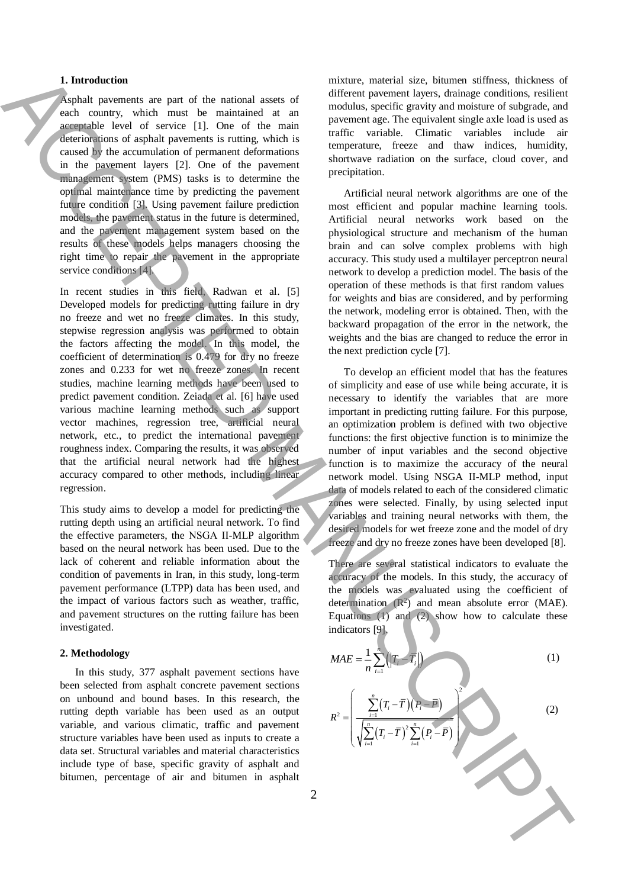## **1. Introduction**

Asphalt pavements are part of the national assets of each country, which must be maintained at an acceptable level of service [1]. One of the main deteriorations of asphalt pavements is rutting, which is caused by the accumulation of permanent deformations in the pavement layers [2]. One of the pavement management system (PMS) tasks is to determine the optimal maintenance time by predicting the pavement future condition [3]. Using pavement failure prediction models, the pavement status in the future is determined, and the pavement management system based on the results of these models helps managers choosing the right time to repair the pavement in the appropriate service conditions [4].

In recent studies in this field, Radwan et al. [5] Developed models for predicting rutting failure in dry no freeze and wet no freeze climates. In this study, stepwise regression analysis was performed to obtain the factors affecting the model. In this model, the coefficient of determination is 0.479 for dry no freeze zones and 0.233 for wet no freeze zones. In recent studies, machine learning methods have been used to predict pavement condition. Zeiada et al. [6] have used various machine learning methods such as support vector machines, regression tree, artificial neural network, etc., to predict the international pavement roughness index. Comparing the results, it was observed that the artificial neural network had the highest accuracy compared to other methods, including linear regression.

This study aims to develop a model for predicting the rutting depth using an artificial neural network. To find the effective parameters, the NSGA ІІ-MLP algorithm based on the neural network has been used. Due to the lack of coherent and reliable information about the condition of pavements in Iran, in this study, long-term pavement performance (LTPP) data has been used, and the impact of various factors such as weather, traffic, and pavement structures on the rutting failure has been investigated.

#### **2. Methodology**

In this study, 377 asphalt pavement sections have been selected from asphalt concrete pavement sections on unbound and bound bases. In this research, the rutting depth variable has been used as an output variable, and various climatic, traffic and pavement structure variables have been used as inputs to create a data set. Structural variables and material characteristics include type of base, specific gravity of asphalt and bitumen, percentage of air and bitumen in asphalt mixture, material size, bitumen stiffness, thickness of different pavement layers, drainage conditions, resilient modulus, specific gravity and moisture of subgrade, and pavement age. The equivalent single axle load is used as traffic variable. Climatic variables include air temperature, freeze and thaw indices, humidity, shortwave radiation on the surface, cloud cover, and precipitation.

Artificial neural network algorithms are one of the most efficient and popular machine learning tools. Artificial neural networks work based on the physiological structure and mechanism of the human brain and can solve complex problems with high accuracy. This study used a multilayer perceptron neural network to develop a prediction model. The basis of the operation of these methods is that first random values for weights and bias are considered, and by performing the network, modeling error is obtained. Then, with the backward propagation of the error in the network, the weights and the bias are changed to reduce the error in the next prediction cycle [7].

To develop an efficient model that has the features of simplicity and ease of use while being accurate, it is necessary to identify the variables that are more important in predicting rutting failure. For this purpose, an optimization problem is defined with two objective functions: the first objective function is to minimize the number of input variables and the second objective function is to maximize the accuracy of the neural network model. Using NSGA ІІ-MLP method, input data of models related to each of the considered climatic zones were selected. Finally, by using selected input variables and training neural networks with them, the desired models for wet freeze zone and the model of dry freeze and dry no freeze zones have been developed [8].

There are several statistical indicators to evaluate the accuracy of the models. In this study, the accuracy of the models was evaluated using the coefficient of determination  $(R^2)$  and mean absolute error (MAE). Equations (1) and (2) show how to calculate these indicators [9].

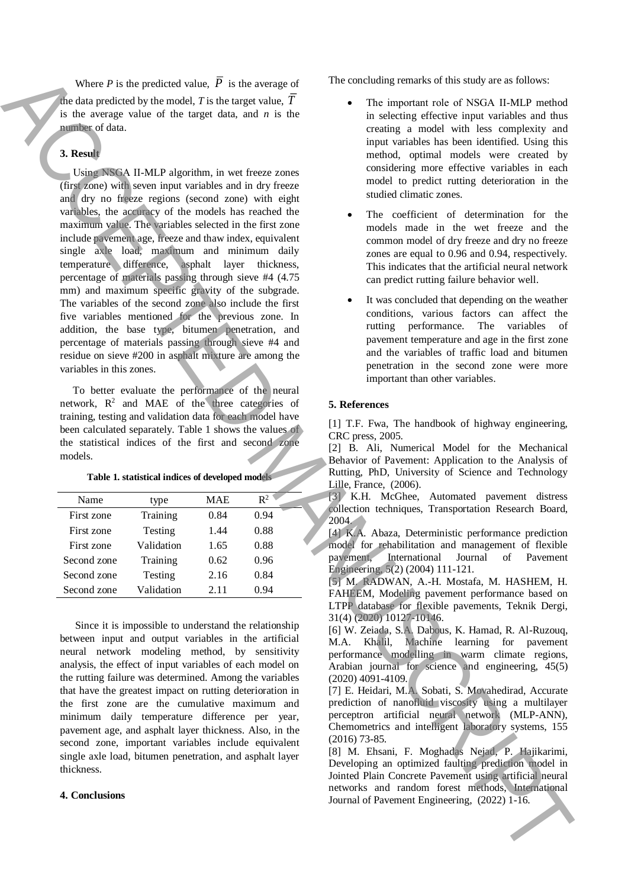Where  $P$  is the predicted value,  $P$  is the average of the data predicted by the model, *T* is the target value, *T* is the average value of the target data, and *n* is the number of data.

## **3. Result**

 Using NSGA ІІ-MLP algorithm, in wet freeze zones (first zone) with seven input variables and in dry freeze and dry no freeze regions (second zone) with eight variables, the accuracy of the models has reached the maximum value. The variables selected in the first zone include pavement age, freeze and thaw index, equivalent single axle load, maximum and minimum daily temperature difference, asphalt layer thickness, percentage of materials passing through sieve #4 (4.75 mm) and maximum specific gravity of the subgrade. The variables of the second zone also include the first five variables mentioned for the previous zone. In addition, the base type, bitumen penetration, and percentage of materials passing through sieve #4 and residue on sieve #200 in asphalt mixture are among the variables in this zones. We wanted to the state of the strength of the strength of the strength of the strength of Paul Line and Certain and Certain and Certain and Certain and Certain and Certain and Certain and Certain and Certain and Certain a

 To better evaluate the performance of the neural network, R 2 and MAE of the three categories of training, testing and validation data for each model have been calculated separately. Table 1 shows the values of the statistical indices of the first and second zone models.

**Table 1. statistical indices of developed models**

| Name        | type       | <b>MAE</b> | $\mathbb{R}^2$ |
|-------------|------------|------------|----------------|
| First zone  | Training   | 0.84       | 0.94           |
| First zone  | Testing    | 1.44       | 0.88           |
| First zone  | Validation | 1.65       | 0.88           |
| Second zone | Training   | 0.62       | 0.96           |
| Second zone | Testing    | 2.16       | 0.84           |
| Second zone | Validation | 2.11       | 0.94           |
|             |            |            |                |

Since it is impossible to understand the relationship between input and output variables in the artificial neural network modeling method, by sensitivity analysis, the effect of input variables of each model on the rutting failure was determined. Among the variables that have the greatest impact on rutting deterioration in the first zone are the cumulative maximum and minimum daily temperature difference per year, pavement age, and asphalt layer thickness. Also, in the second zone, important variables include equivalent single axle load, bitumen penetration, and asphalt layer thickness.

### **4. Conclusions**

The concluding remarks of this study are as follows:

- The important role of NSGA ІІ-MLP method in selecting effective input variables and thus creating a model with less complexity and input variables has been identified. Using this method, optimal models were created by considering more effective variables in each model to predict rutting deterioration in the studied climatic zones.
- The coefficient of determination for the models made in the wet freeze and the common model of dry freeze and dry no freeze zones are equal to 0.96 and 0.94, respectively. This indicates that the artificial neural network can predict rutting failure behavior well.
- It was concluded that depending on the weather conditions, various factors can affect the rutting performance. The variables of pavement temperature and age in the first zone and the variables of traffic load and bitumen penetration in the second zone were more important than other variables.

#### **5. References**

[1] T.F. Fwa, The handbook of highway engineering, CRC press, 2005.

[2] B. Ali, Numerical Model for the Mechanical Behavior of Pavement: Application to the Analysis of Rutting, PhD, University of Science and Technology Lille, France, (2006).

[3] K.H. McGhee, Automated pavement distress collection techniques, Transportation Research Board, 2004.

[4] K.A. Abaza, Deterministic performance prediction model for rehabilitation and management of flexible<br>pavement, International Journal of Pavement International Journal of Pavement Engineering, 5(2) (2004) 111-121.

[5] M. RADWAN, A.-H. Mostafa, M. HASHEM, H. FAHEEM, Modeling pavement performance based on LTPP database for flexible pavements, Teknik Dergi, 31(4) (2020) 10127-10146.

[6] W. Zeiada, S.A. Dabous, K. Hamad, R. Al-Ruzouq, M.A. Khalil, Machine learning for pavement performance modelling in warm climate regions, Arabian journal for science and engineering, 45(5) (2020) 4091-4109.

[7] E. Heidari, M.A. Sobati, S. Movahedirad, Accurate prediction of nanofluid viscosity using a multilayer perceptron artificial neural network (MLP-ANN), Chemometrics and intelligent laboratory systems, 155 (2016) 73-85.

[8] M. Ehsani, F. Moghadas Nejad, P. Hajikarimi, Developing an optimized faulting prediction model in Jointed Plain Concrete Pavement using artificial neural networks and random forest methods, International